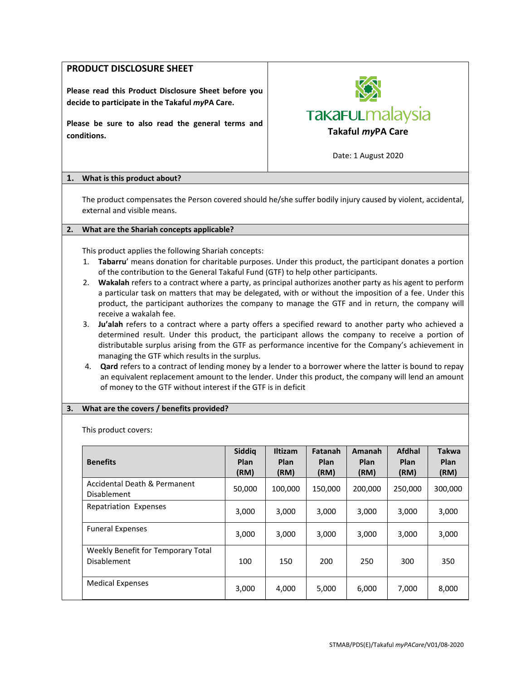# **PRODUCT DISCLOSURE SHEET**

**Please read this Product Disclosure Sheet before you decide to participate in the Takaful** *my***PA Care.**

**Please be sure to also read the general terms and conditions. Takaful** *my***PA Care**



Date: 1 August 2020

## **1. What is this product about?**

The product compensates the Person covered should he/she suffer bodily injury caused by violent, accidental, external and visible means.

# **2. What are the Shariah concepts applicable?**

This product applies the following Shariah concepts:

- 1. **Tabarru**' means donation for charitable purposes. Under this product, the participant donates a portion of the contribution to the General Takaful Fund (GTF) to help other participants.
- 2. **Wakalah** refers to a contract where a party, as principal authorizes another party as his agent to perform a particular task on matters that may be delegated, with or without the imposition of a fee. Under this product, the participant authorizes the company to manage the GTF and in return, the company will receive a wakalah fee.
- 3. **Ju'alah** refers to a contract where a party offers a specified reward to another party who achieved a determined result. Under this product, the participant allows the company to receive a portion of distributable surplus arising from the GTF as performance incentive for the Company's achievement in managing the GTF which results in the surplus.
- 4. **Qard** refers to a contract of lending money by a lender to a borrower where the latter is bound to repay an equivalent replacement amount to the lender. Under this product, the company will lend an amount of money to the GTF without interest if the GTF is in deficit

## **3. What are the covers / benefits provided?**

This product covers:

| <b>Benefits</b>                                          | Siddig<br><b>Plan</b><br>(RM) | <b>Iltizam</b><br><b>Plan</b><br>(RM) | Fatanah<br><b>Plan</b><br>(RM) | Amanah<br><b>Plan</b><br>(RM) | Afdhal<br>Plan<br>(RM) | <b>Takwa</b><br><b>Plan</b><br>(RM) |
|----------------------------------------------------------|-------------------------------|---------------------------------------|--------------------------------|-------------------------------|------------------------|-------------------------------------|
| Accidental Death & Permanent<br><b>Disablement</b>       | 50,000                        | 100,000                               | 150,000                        | 200,000                       | 250.000                | 300,000                             |
| <b>Repatriation Expenses</b>                             | 3,000                         | 3,000                                 | 3,000                          | 3,000                         | 3,000                  | 3,000                               |
| <b>Funeral Expenses</b>                                  | 3,000                         | 3,000                                 | 3,000                          | 3,000                         | 3,000                  | 3,000                               |
| Weekly Benefit for Temporary Total<br><b>Disablement</b> | 100                           | 150                                   | 200                            | 250                           | 300                    | 350                                 |
| <b>Medical Expenses</b>                                  | 3,000                         | 4,000                                 | 5,000                          | 6,000                         | 7,000                  | 8,000                               |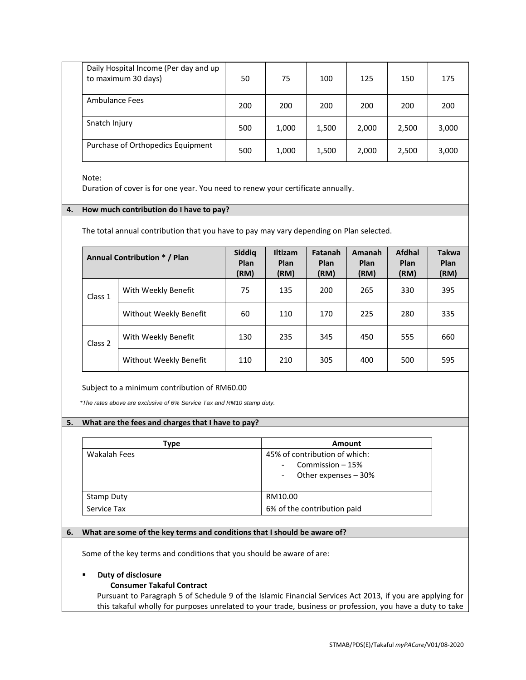| Daily Hospital Income (Per day and up<br>to maximum 30 days) | 50  | 75    | 100   | 125   | 150   | 175   |
|--------------------------------------------------------------|-----|-------|-------|-------|-------|-------|
| Ambulance Fees                                               | 200 | 200   | 200   | 200   | 200   | 200   |
| Snatch Injury                                                | 500 | 1,000 | 1,500 | 2,000 | 2,500 | 3,000 |
| Purchase of Orthopedics Equipment                            | 500 | 1,000 | 1,500 | 2,000 | 2,500 | 3,000 |

Note:

Duration of cover is for one year. You need to renew your certificate annually.

## **4. How much contribution do I have to pay?**

The total annual contribution that you have to pay may vary depending on Plan selected.

|         | <b>Annual Contribution * / Plan</b> | Siddiq<br>Plan<br>(RM) | <b>Iltizam</b><br>Plan<br>(RM) | Fatanah<br>Plan<br>(RM) | <b>Amanah</b><br>Plan<br>(RM) | Afdhal<br>Plan<br>(RM) | <b>Takwa</b><br>Plan<br>(RM) |
|---------|-------------------------------------|------------------------|--------------------------------|-------------------------|-------------------------------|------------------------|------------------------------|
| Class 1 | With Weekly Benefit                 | 75                     | 135                            | 200                     | 265                           | 330                    | 395                          |
|         | Without Weekly Benefit              | 60                     | 110                            | 170                     | 225                           | 280                    | 335                          |
| Class 2 | With Weekly Benefit                 | 130                    | 235                            | 345                     | 450                           | 555                    | 660                          |
|         | Without Weekly Benefit              | 110                    | 210                            | 305                     | 400                           | 500                    | 595                          |

Subject to a minimum contribution of RM60.00

*\*The rates above are exclusive of 6% Service Tax and RM10 stamp duty.*

## **5. What are the fees and charges that I have to pay?**

| Type         | Amount                                                                     |
|--------------|----------------------------------------------------------------------------|
| Wakalah Fees | 45% of contribution of which:<br>Commission $-15%$<br>Other expenses - 30% |
| Stamp Duty   | RM10.00                                                                    |
| Service Tax  | 6% of the contribution paid                                                |

## **6. What are some of the key terms and conditions that I should be aware of?**

Some of the key terms and conditions that you should be aware of are:

## **Duty of disclosure**

## **Consumer Takaful Contract**

Pursuant to Paragraph 5 of Schedule 9 of the Islamic Financial Services Act 2013, if you are applying for this takaful wholly for purposes unrelated to your trade, business or profession, you have a duty to take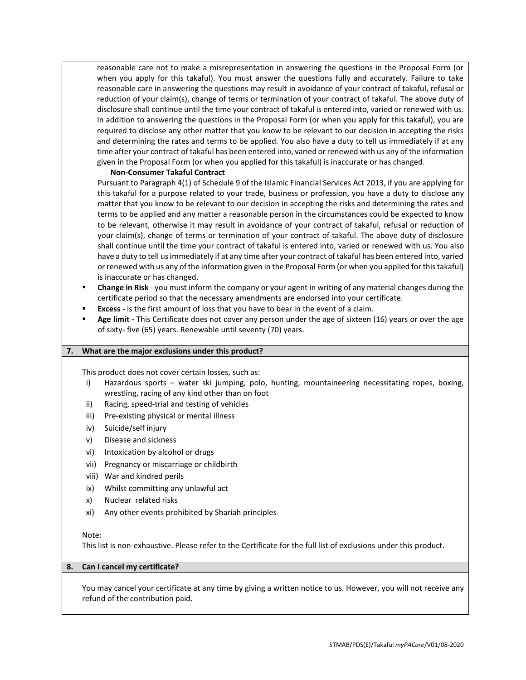reasonable care not to make a misrepresentation in answering the questions in the Proposal Form (or when you apply for this takaful). You must answer the questions fully and accurately. Failure to take reasonable care in answering the questions may result in avoidance of your contract of takaful, refusal or reduction of your claim(s), change of terms or termination of your contract of takaful. The above duty of disclosure shall continue until the time your contract of takaful is entered into, varied or renewed with us. In addition to answering the questions in the Proposal Form (or when you apply for this takaful), you are required to disclose any other matter that you know to be relevant to our decision in accepting the risks and determining the rates and terms to be applied. You also have a duty to tell us immediately if at any time after your contract of takaful has been entered into, varied or renewed with us any of the information given in the Proposal Form (or when you applied for this takaful) is inaccurate or has changed.

#### **Non-Consumer Takaful Contract**

Pursuant to Paragraph 4(1) of Schedule 9 of the Islamic Financial Services Act 2013, if you are applying for this takaful for a purpose related to your trade, business or profession, you have a duty to disclose any matter that you know to be relevant to our decision in accepting the risks and determining the rates and terms to be applied and any matter a reasonable person in the circumstances could be expected to know to be relevant, otherwise it may result in avoidance of your contract of takaful, refusal or reduction of your claim(s), change of terms or termination of your contract of takaful. The above duty of disclosure shall continue until the time your contract of takaful is entered into, varied or renewed with us. You also have a duty to tell us immediately if at any time after your contract of takaful has been entered into, varied or renewed with us any of the information given in the Proposal Form (or when you applied for this takaful) is inaccurate or has changed.

- **Change in Risk**  you must inform the company or your agent in writing of any material changes during the certificate period so that the necessary amendments are endorsed into your certificate.
- **Excess**  is the first amount of loss that you have to bear in the event of a claim.
- **Age limit -** This Certificate does not cover any person under the age of sixteen (16) years or over the age of sixty- five (65) years. Renewable until seventy (70) years.

#### **7. What are the major exclusions under this product?**

This product does not cover certain losses, such as:

- i) Hazardous sports water ski jumping, polo, hunting, mountaineering necessitating ropes, boxing, wrestling, racing of any kind other than on foot
- ii) Racing, speed-trial and testing of vehicles
- iii) Pre-existing physical or mental illness
- iv) Suicide/self injury
- v) Disease and sickness
- vi) Intoxication by alcohol or drugs
- vii) Pregnancy or miscarriage or childbirth
- viii) War and kindred perils
- ix) Whilst committing any unlawful act
- x) Nuclear related risks
- xi) Any other events prohibited by Shariah principles

#### Note:

This list is non-exhaustive. Please refer to the Certificate for the full list of exclusions under this product.

#### **8. Can I cancel my certificate?**

You may cancel your certificate at any time by giving a written notice to us. However, you will not receive any refund of the contribution paid.